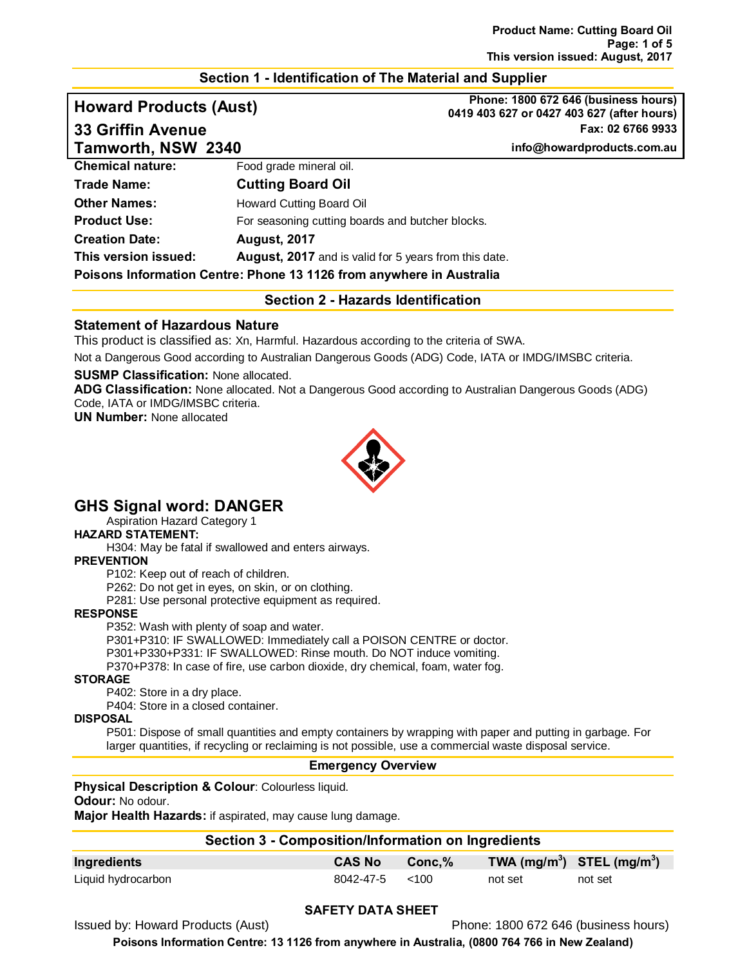# **Section 1 - Identification of The Material and Supplier**

**Howard Products (Aust) Phone: 1800 672 646 (business hours) 0419 403 627 or 0427 403 627 (after hours) 33 Griffin Avenue Fax: 02 6766 9933**

**Tamworth, NSW 2340 info@howardproducts.com.au**

| $1$ Gilive of City 1909 of $\sim$ $ \sim$ $ \sim$                    |                                                              |  |
|----------------------------------------------------------------------|--------------------------------------------------------------|--|
| <b>Chemical nature:</b>                                              | Food grade mineral oil.                                      |  |
| <b>Trade Name:</b>                                                   | <b>Cutting Board Oil</b>                                     |  |
| <b>Other Names:</b>                                                  | Howard Cutting Board Oil                                     |  |
| <b>Product Use:</b>                                                  | For seasoning cutting boards and butcher blocks.             |  |
| <b>Creation Date:</b>                                                | <b>August, 2017</b>                                          |  |
| This version issued:                                                 | <b>August, 2017</b> and is valid for 5 years from this date. |  |
| Poisons Information Centre: Phone 13 1126 from anywhere in Australia |                                                              |  |
|                                                                      |                                                              |  |

**Section 2 - Hazards Identification**

# **Statement of Hazardous Nature**

This product is classified as: Xn, Harmful. Hazardous according to the criteria of SWA.

Not a Dangerous Good according to Australian Dangerous Goods (ADG) Code, IATA or IMDG/IMSBC criteria.

#### **SUSMP Classification:** None allocated.

**ADG Classification:** None allocated. Not a Dangerous Good according to Australian Dangerous Goods (ADG) Code, IATA or IMDG/IMSBC criteria.

**UN Number:** None allocated



# **GHS Signal word: DANGER**

Aspiration Hazard Category 1

### **HAZARD STATEMENT:**

H304: May be fatal if swallowed and enters airways.

#### **PREVENTION**

P102: Keep out of reach of children.

P262: Do not get in eyes, on skin, or on clothing.

P281: Use personal protective equipment as required.

#### **RESPONSE**

P352: Wash with plenty of soap and water.

P301+P310: IF SWALLOWED: Immediately call a POISON CENTRE or doctor.

P301+P330+P331: IF SWALLOWED: Rinse mouth. Do NOT induce vomiting.

P370+P378: In case of fire, use carbon dioxide, dry chemical, foam, water fog.

#### **STORAGE**

P402: Store in a dry place.

P404: Store in a closed container.

#### **DISPOSAL**

P501: Dispose of small quantities and empty containers by wrapping with paper and putting in garbage. For larger quantities, if recycling or reclaiming is not possible, use a commercial waste disposal service.

### **Emergency Overview**

#### **Physical Description & Colour**: Colourless liquid.

#### **Odour:** No odour.

**Major Health Hazards:** if aspirated, may cause lung damage.

| Section 3 - Composition/Information on Ingredients |                          |        |                                |         |
|----------------------------------------------------|--------------------------|--------|--------------------------------|---------|
| Ingredients                                        | <b>CAS No</b>            | Conc.% | TWA $(mg/m^3)$ STEL $(mg/m^3)$ |         |
| Liquid hydrocarbon                                 | $8042 - 47 - 5 \leq 100$ |        | not set                        | not set |

### **SAFETY DATA SHEET**

Issued by: Howard Products (Aust) Phone: 1800 672 646 (business hours)

**Poisons Information Centre: 13 1126 from anywhere in Australia, (0800 764 766 in New Zealand)**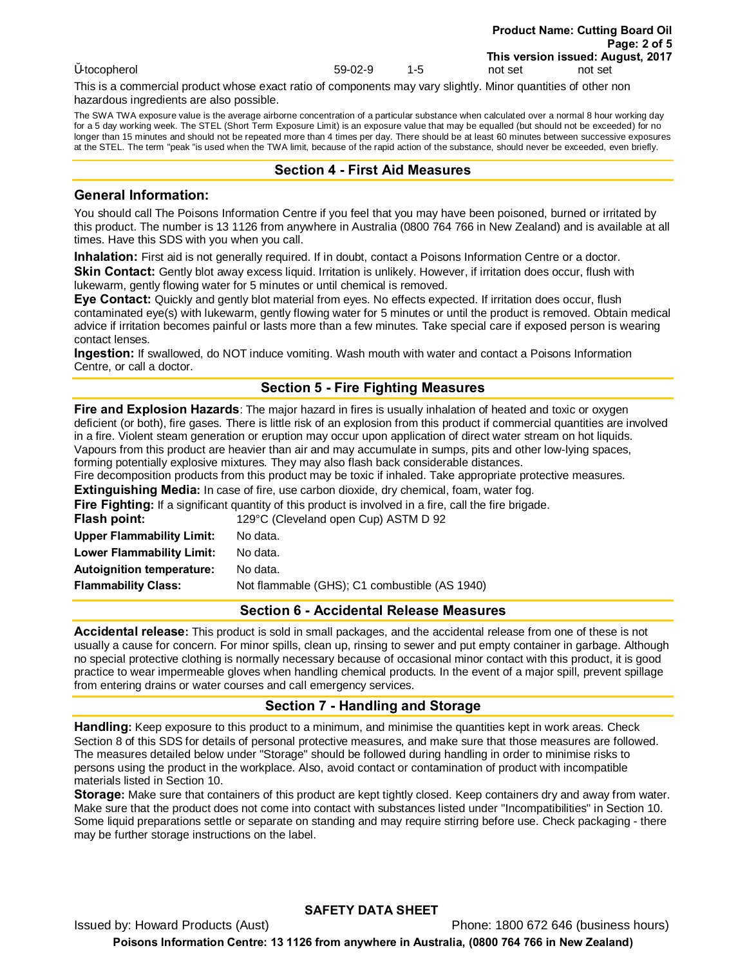This is a commercial product whose exact ratio of components may vary slightly. Minor quantities of other non hazardous ingredients are also possible.

The SWA TWA exposure value is the average airborne concentration of a particular substance when calculated over a normal 8 hour working day for a 5 day working week. The STEL (Short Term Exposure Limit) is an exposure value that may be equalled (but should not be exceeded) for no longer than 15 minutes and should not be repeated more than 4 times per day. There should be at least 60 minutes between successive exposures at the STEL. The term "peak "is used when the TWA limit, because of the rapid action of the substance, should never be exceeded, even briefly.

# **Section 4 - First Aid Measures**

# **General Information:**

You should call The Poisons Information Centre if you feel that you may have been poisoned, burned or irritated by this product. The number is 13 1126 from anywhere in Australia (0800 764 766 in New Zealand) and is available at all times. Have this SDS with you when you call.

**Inhalation:** First aid is not generally required. If in doubt, contact a Poisons Information Centre or a doctor. **Skin Contact:** Gently blot away excess liquid. Irritation is unlikely. However, if irritation does occur, flush with lukewarm, gently flowing water for 5 minutes or until chemical is removed.

**Eye Contact:** Quickly and gently blot material from eyes. No effects expected. If irritation does occur, flush contaminated eye(s) with lukewarm, gently flowing water for 5 minutes or until the product is removed. Obtain medical advice if irritation becomes painful or lasts more than a few minutes. Take special care if exposed person is wearing contact lenses.

**Ingestion:** If swallowed, do NOT induce vomiting. Wash mouth with water and contact a Poisons Information Centre, or call a doctor.

# **Section 5 - Fire Fighting Measures**

**Fire and Explosion Hazards**: The major hazard in fires is usually inhalation of heated and toxic or oxygen deficient (or both), fire gases. There is little risk of an explosion from this product if commercial quantities are involved in a fire. Violent steam generation or eruption may occur upon application of direct water stream on hot liquids. Vapours from this product are heavier than air and may accumulate in sumps, pits and other low-lying spaces, forming potentially explosive mixtures. They may also flash back considerable distances.

Fire decomposition products from this product may be toxic if inhaled. Take appropriate protective measures.

**Extinguishing Media:** In case of fire, use carbon dioxide, dry chemical, foam, water fog.

|                                  | <b>Fire Fighting:</b> If a significant quantity of this product is involved in a fire, call the fire brigade. |
|----------------------------------|---------------------------------------------------------------------------------------------------------------|
| Flash point:                     | 129°C (Cleveland open Cup) ASTM D 92                                                                          |
| <b>Upper Flammability Limit:</b> | No data.                                                                                                      |
| <b>Lower Flammability Limit:</b> | No data.                                                                                                      |
| <b>Autoignition temperature:</b> | No data.                                                                                                      |
| <b>Flammability Class:</b>       | Not flammable (GHS); C1 combustible (AS 1940)                                                                 |

# **Section 6 - Accidental Release Measures**

**Accidental release:** This product is sold in small packages, and the accidental release from one of these is not usually a cause for concern. For minor spills, clean up, rinsing to sewer and put empty container in garbage. Although no special protective clothing is normally necessary because of occasional minor contact with this product, it is good practice to wear impermeable gloves when handling chemical products. In the event of a major spill, prevent spillage from entering drains or water courses and call emergency services.

# **Section 7 - Handling and Storage**

**Handling:** Keep exposure to this product to a minimum, and minimise the quantities kept in work areas. Check Section 8 of this SDS for details of personal protective measures, and make sure that those measures are followed. The measures detailed below under "Storage" should be followed during handling in order to minimise risks to persons using the product in the workplace. Also, avoid contact or contamination of product with incompatible materials listed in Section 10.

**Storage:** Make sure that containers of this product are kept tightly closed. Keep containers dry and away from water. Make sure that the product does not come into contact with substances listed under "Incompatibilities" in Section 10. Some liquid preparations settle or separate on standing and may require stirring before use. Check packaging - there may be further storage instructions on the label.

# **SAFETY DATA SHEET**

Issued by: Howard Products (Aust) Phone: 1800 672 646 (business hours) **Poisons Information Centre: 13 1126 from anywhere in Australia, (0800 764 766 in New Zealand)**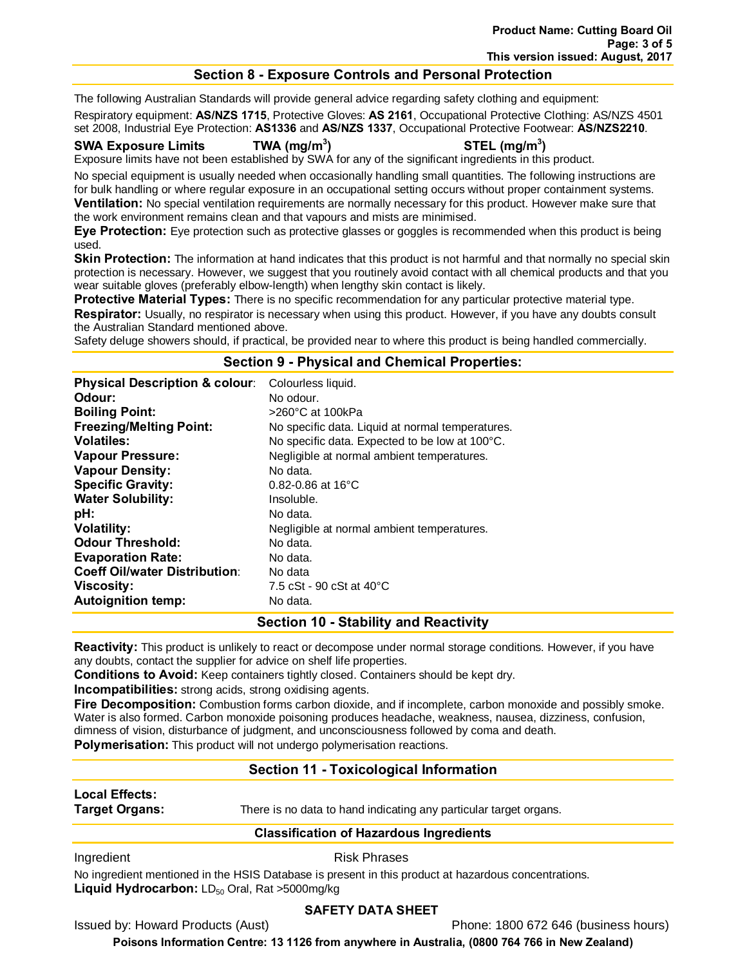# **Section 8 - Exposure Controls and Personal Protection**

The following Australian Standards will provide general advice regarding safety clothing and equipment:

Respiratory equipment: **AS/NZS 1715**, Protective Gloves: **AS 2161**, Occupational Protective Clothing: AS/NZS 4501 set 2008, Industrial Eye Protection: **AS1336** and **AS/NZS 1337**, Occupational Protective Footwear: **AS/NZS2210**.

#### **SWA Exposure Limits TWA (mg/m3**

# **) STEL (mg/m3 )**

Exposure limits have not been established by SWA for any of the significant ingredients in this product.

No special equipment is usually needed when occasionally handling small quantities. The following instructions are for bulk handling or where regular exposure in an occupational setting occurs without proper containment systems. **Ventilation:** No special ventilation requirements are normally necessary for this product. However make sure that the work environment remains clean and that vapours and mists are minimised.

**Eye Protection:** Eye protection such as protective glasses or goggles is recommended when this product is being used.

**Skin Protection:** The information at hand indicates that this product is not harmful and that normally no special skin protection is necessary. However, we suggest that you routinely avoid contact with all chemical products and that you wear suitable gloves (preferably elbow-length) when lengthy skin contact is likely.

**Protective Material Types:** There is no specific recommendation for any particular protective material type. **Respirator:** Usually, no respirator is necessary when using this product. However, if you have any doubts consult the Australian Standard mentioned above.

Safety deluge showers should, if practical, be provided near to where this product is being handled commercially.

#### **Section 9 - Physical and Chemical Properties:**

| <b>Physical Description &amp; colour:</b> | Colourless liquid.                               |
|-------------------------------------------|--------------------------------------------------|
| Odour:                                    | No odour.                                        |
| <b>Boiling Point:</b>                     | >260°C at 100kPa                                 |
| <b>Freezing/Melting Point:</b>            | No specific data. Liquid at normal temperatures. |
| <b>Volatiles:</b>                         | No specific data. Expected to be low at 100°C.   |
| <b>Vapour Pressure:</b>                   | Negligible at normal ambient temperatures.       |
| <b>Vapour Density:</b>                    | No data.                                         |
| <b>Specific Gravity:</b>                  | $0.82 - 0.86$ at 16 $^{\circ}$ C                 |
| <b>Water Solubility:</b>                  | Insoluble.                                       |
| pH:                                       | No data.                                         |
| <b>Volatility:</b>                        | Negligible at normal ambient temperatures.       |
| <b>Odour Threshold:</b>                   | No data.                                         |
| <b>Evaporation Rate:</b>                  | No data.                                         |
| <b>Coeff Oil/water Distribution:</b>      | No data                                          |
| Viscosity:                                | 7.5 cSt - 90 cSt at 40 °C                        |
| <b>Autoignition temp:</b>                 | No data.                                         |

### **Section 10 - Stability and Reactivity**

**Reactivity:** This product is unlikely to react or decompose under normal storage conditions. However, if you have any doubts, contact the supplier for advice on shelf life properties.

**Conditions to Avoid:** Keep containers tightly closed. Containers should be kept dry.

**Incompatibilities:** strong acids, strong oxidising agents.

**Fire Decomposition:** Combustion forms carbon dioxide, and if incomplete, carbon monoxide and possibly smoke. Water is also formed. Carbon monoxide poisoning produces headache, weakness, nausea, dizziness, confusion, dimness of vision, disturbance of judgment, and unconsciousness followed by coma and death. **Polymerisation:** This product will not undergo polymerisation reactions.

# **Section 11 - Toxicological Information**

# **Local Effects:**

**Target Organs:** There is no data to hand indicating any particular target organs.

# **Classification of Hazardous Ingredients**

Ingredient **Risk Phrases** 

No ingredient mentioned in the HSIS Database is present in this product at hazardous concentrations. **Liquid Hydrocarbon:** LD<sub>50</sub> Oral, Rat >5000mg/kg

# **SAFETY DATA SHEET**

Issued by: Howard Products (Aust) Phone: 1800 672 646 (business hours)

**Poisons Information Centre: 13 1126 from anywhere in Australia, (0800 764 766 in New Zealand)**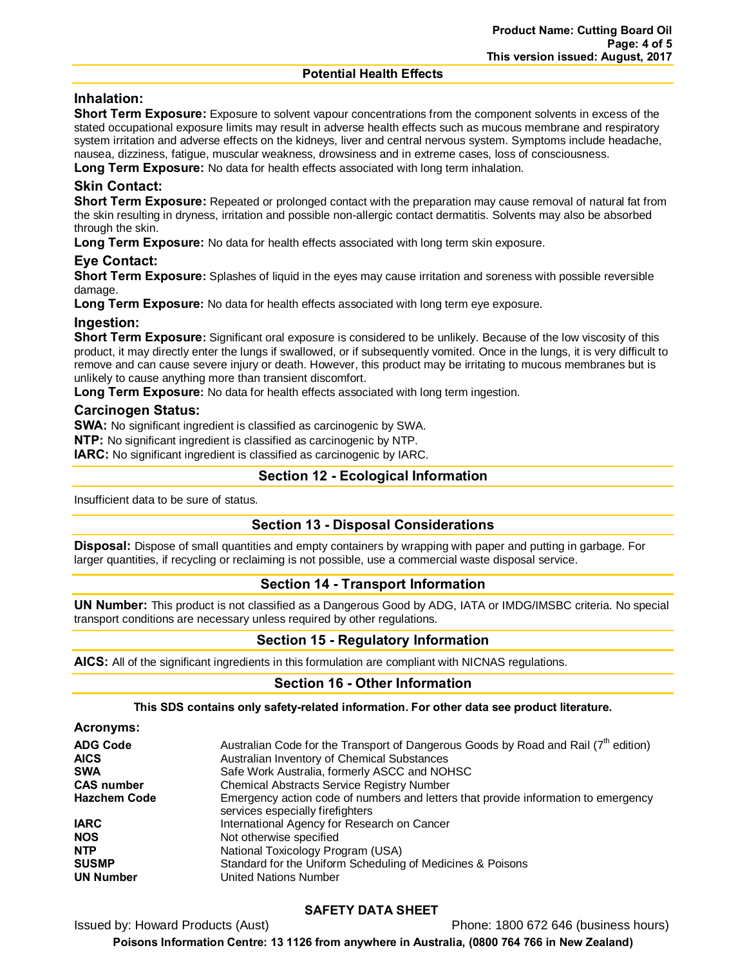#### **Potential Health Effects**

# **Inhalation:**

**Short Term Exposure:** Exposure to solvent vapour concentrations from the component solvents in excess of the stated occupational exposure limits may result in adverse health effects such as mucous membrane and respiratory system irritation and adverse effects on the kidneys, liver and central nervous system. Symptoms include headache, nausea, dizziness, fatigue, muscular weakness, drowsiness and in extreme cases, loss of consciousness.

Long Term Exposure: No data for health effects associated with long term inhalation.

# **Skin Contact:**

**Short Term Exposure:** Repeated or prolonged contact with the preparation may cause removal of natural fat from the skin resulting in dryness, irritation and possible non-allergic contact dermatitis. Solvents may also be absorbed through the skin.

**Long Term Exposure:** No data for health effects associated with long term skin exposure.

# **Eye Contact:**

**Short Term Exposure:** Splashes of liquid in the eyes may cause irritation and soreness with possible reversible damage.

**Long Term Exposure:** No data for health effects associated with long term eye exposure.

# **Ingestion:**

**Short Term Exposure:** Significant oral exposure is considered to be unlikely. Because of the low viscosity of this product, it may directly enter the lungs if swallowed, or if subsequently vomited. Once in the lungs, it is very difficult to remove and can cause severe injury or death. However, this product may be irritating to mucous membranes but is unlikely to cause anything more than transient discomfort.

**Long Term Exposure:** No data for health effects associated with long term ingestion.

### **Carcinogen Status:**

**SWA:** No significant ingredient is classified as carcinogenic by SWA.

**NTP:** No significant ingredient is classified as carcinogenic by NTP.

**IARC:** No significant ingredient is classified as carcinogenic by IARC.

# **Section 12 - Ecological Information**

Insufficient data to be sure of status.

### **Section 13 - Disposal Considerations**

**Disposal:** Dispose of small quantities and empty containers by wrapping with paper and putting in garbage. For larger quantities, if recycling or reclaiming is not possible, use a commercial waste disposal service.

# **Section 14 - Transport Information**

**UN Number:** This product is not classified as a Dangerous Good by ADG, IATA or IMDG/IMSBC criteria. No special transport conditions are necessary unless required by other regulations.

# **Section 15 - Regulatory Information**

**AICS:** All of the significant ingredients in this formulation are compliant with NICNAS regulations.

# **Section 16 - Other Information**

### **This SDS contains only safety-related information. For other data see product literature.**

| Acronyms: |  |
|-----------|--|
|-----------|--|

| <b>ADG Code</b>     | Australian Code for the Transport of Dangerous Goods by Road and Rail $(7th$ edition)                                  |
|---------------------|------------------------------------------------------------------------------------------------------------------------|
| <b>AICS</b>         | Australian Inventory of Chemical Substances                                                                            |
| <b>SWA</b>          | Safe Work Australia, formerly ASCC and NOHSC                                                                           |
| <b>CAS number</b>   | <b>Chemical Abstracts Service Registry Number</b>                                                                      |
| <b>Hazchem Code</b> | Emergency action code of numbers and letters that provide information to emergency<br>services especially firefighters |
| <b>IARC</b>         | International Agency for Research on Cancer                                                                            |
| <b>NOS</b>          | Not otherwise specified                                                                                                |
| <b>NTP</b>          | National Toxicology Program (USA)                                                                                      |
| <b>SUSMP</b>        | Standard for the Uniform Scheduling of Medicines & Poisons                                                             |
| <b>UN Number</b>    | United Nations Number                                                                                                  |

# **SAFETY DATA SHEET**

Issued by: Howard Products (Aust) Phone: 1800 672 646 (business hours) **Poisons Information Centre: 13 1126 from anywhere in Australia, (0800 764 766 in New Zealand)**